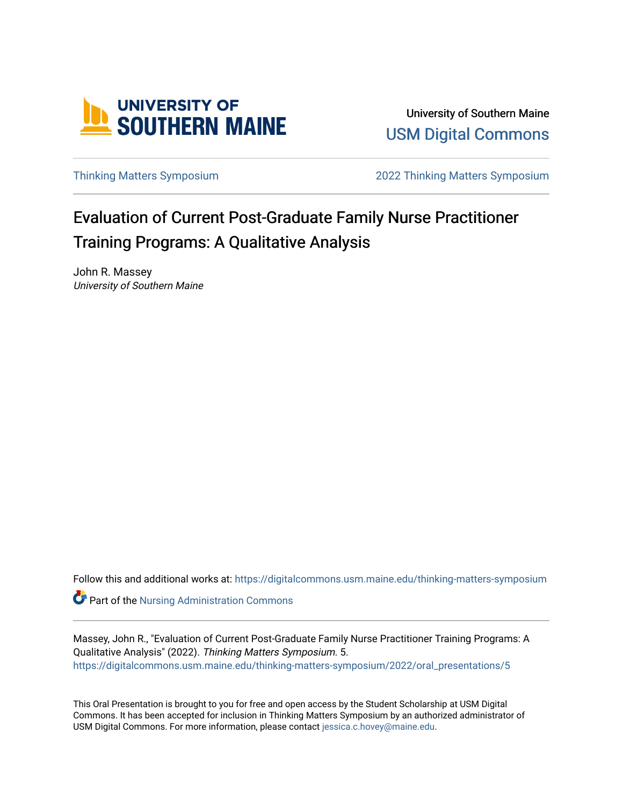

University of Southern Maine [USM Digital Commons](https://digitalcommons.usm.maine.edu/) 

[Thinking Matters Symposium](https://digitalcommons.usm.maine.edu/thinking-matters-symposium) [2022 Thinking Matters Symposium](https://digitalcommons.usm.maine.edu/thinking-matters-symposium/2022) 

#### Evaluation of Current Post-Graduate Family Nurse Practitioner Training Programs: A Qualitative Analysis

John R. Massey University of Southern Maine

Follow this and additional works at: [https://digitalcommons.usm.maine.edu/thinking-matters-symposium](https://digitalcommons.usm.maine.edu/thinking-matters-symposium?utm_source=digitalcommons.usm.maine.edu%2Fthinking-matters-symposium%2F2022%2Foral_presentations%2F5&utm_medium=PDF&utm_campaign=PDFCoverPages) 

**Part of the [Nursing Administration Commons](http://network.bepress.com/hgg/discipline/719?utm_source=digitalcommons.usm.maine.edu%2Fthinking-matters-symposium%2F2022%2Foral_presentations%2F5&utm_medium=PDF&utm_campaign=PDFCoverPages)** 

Massey, John R., "Evaluation of Current Post-Graduate Family Nurse Practitioner Training Programs: A Qualitative Analysis" (2022). Thinking Matters Symposium. 5. [https://digitalcommons.usm.maine.edu/thinking-matters-symposium/2022/oral\\_presentations/5](https://digitalcommons.usm.maine.edu/thinking-matters-symposium/2022/oral_presentations/5?utm_source=digitalcommons.usm.maine.edu%2Fthinking-matters-symposium%2F2022%2Foral_presentations%2F5&utm_medium=PDF&utm_campaign=PDFCoverPages) 

This Oral Presentation is brought to you for free and open access by the Student Scholarship at USM Digital Commons. It has been accepted for inclusion in Thinking Matters Symposium by an authorized administrator of USM Digital Commons. For more information, please contact [jessica.c.hovey@maine.edu](mailto:ian.fowler@maine.edu).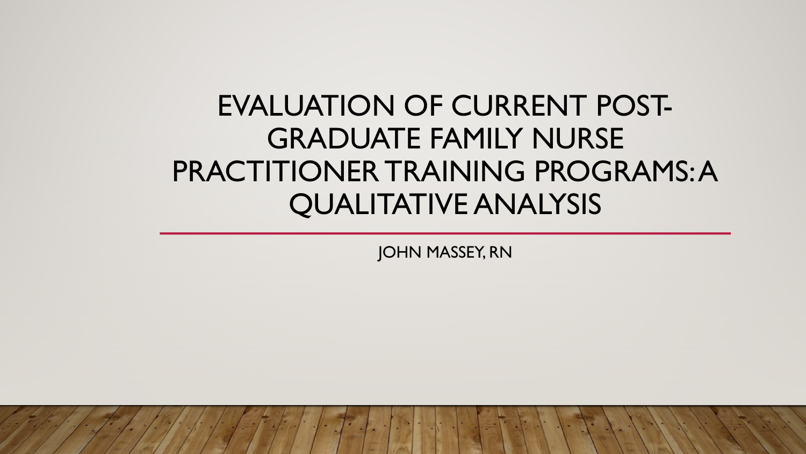# EVALUATION OF CURRENT POST-GRADUATE FAMILY NURSE PRACTITIONER TRAINING PROGRAMS: A QUALITATIVE ANALYSIS

JOHN MASSEY, RN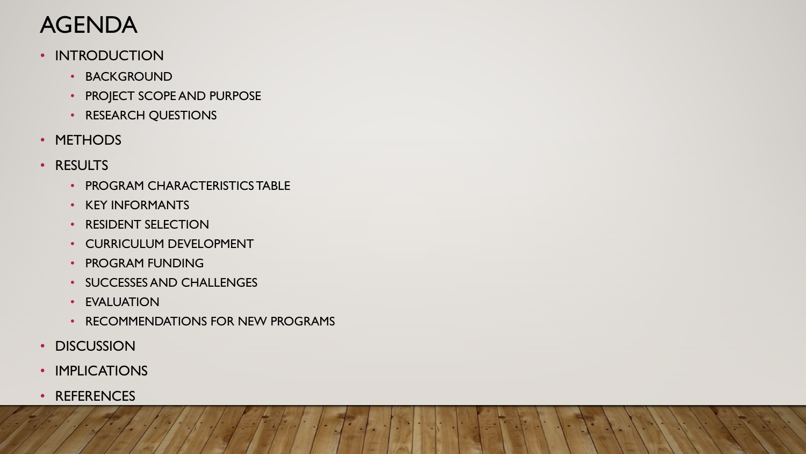#### AGENDA

- INTRODUCTION
	- BACKGROUND
	- PROJECT SCOPE AND PURPOSE
	- RESEARCH QUESTIONS
- METHODS
- RESULTS
	- PROGRAM CHARACTERISTICS TABLE
	- KEY INFORMANTS
	- RESIDENT SELECTION
	- CURRICULUM DEVELOPMENT
	- PROGRAM FUNDING
	- SUCCESSES AND CHALLENGES
	- EVALUATION
	- RECOMMENDATIONS FOR NEW PROGRAMS
- DISCUSSION
- IMPLICATIONS
- REFERENCES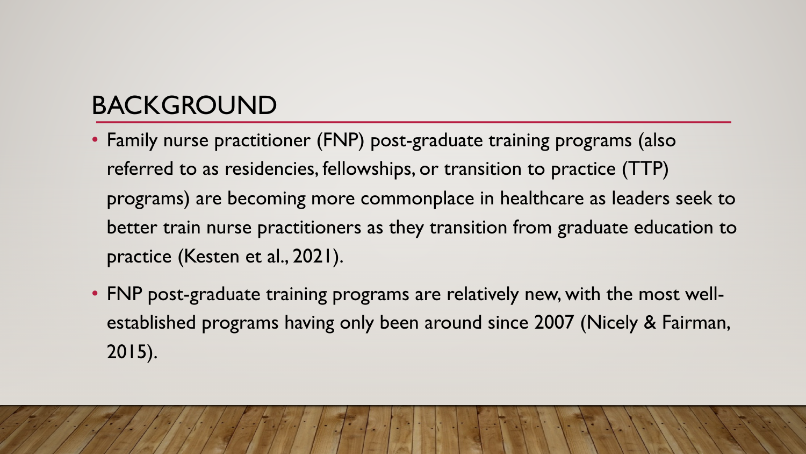## BACKGROUND

- Family nurse practitioner (FNP) post-graduate training programs (also referred to as residencies, fellowships, or transition to practice (TTP) programs) are becoming more commonplace in healthcare as leaders seek to better train nurse practitioners as they transition from graduate education to practice (Kesten et al., 2021).
- FNP post-graduate training programs are relatively new, with the most wellestablished programs having only been around since 2007 (Nicely & Fairman, 2015).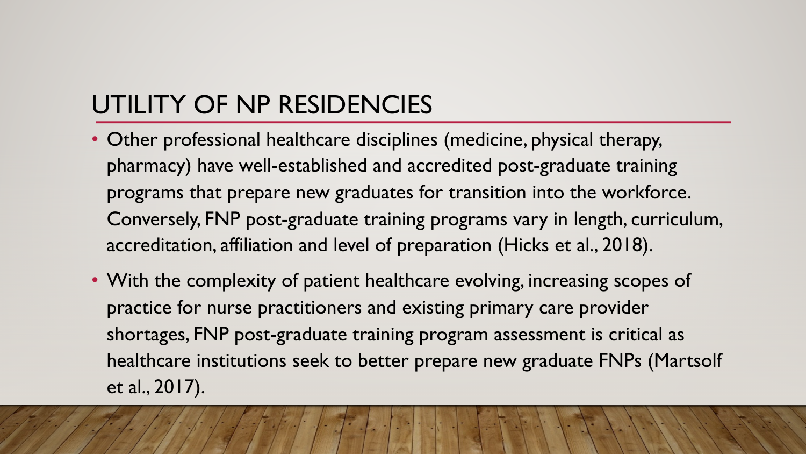## UTILITY OF NP RESIDENCIES

- Other professional healthcare disciplines (medicine, physical therapy, pharmacy) have well-established and accredited post-graduate training programs that prepare new graduates for transition into the workforce. Conversely, FNP post-graduate training programs vary in length, curriculum, accreditation, affiliation and level of preparation (Hicks et al., 2018).
- With the complexity of patient healthcare evolving, increasing scopes of practice for nurse practitioners and existing primary care provider shortages, FNP post-graduate training program assessment is critical as healthcare institutions seek to better prepare new graduate FNPs (Martsolf et al., 2017).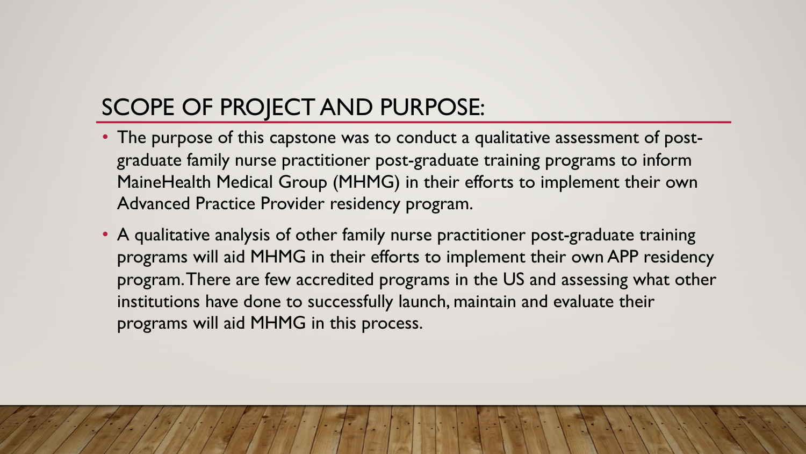#### SCOPE OF PROJECT AND PURPOSE:

- The purpose of this capstone was to conduct a qualitative assessment of postgraduate family nurse practitioner post-graduate training programs to inform MaineHealth Medical Group (MHMG) in their efforts to implement their own Advanced Practice Provider residency program.
- A qualitative analysis of other family nurse practitioner post-graduate training programs will aid MHMG in their efforts to implement their own APP residency program. There are few accredited programs in the US and assessing what other institutions have done to successfully launch, maintain and evaluate their programs will aid MHMG in this process.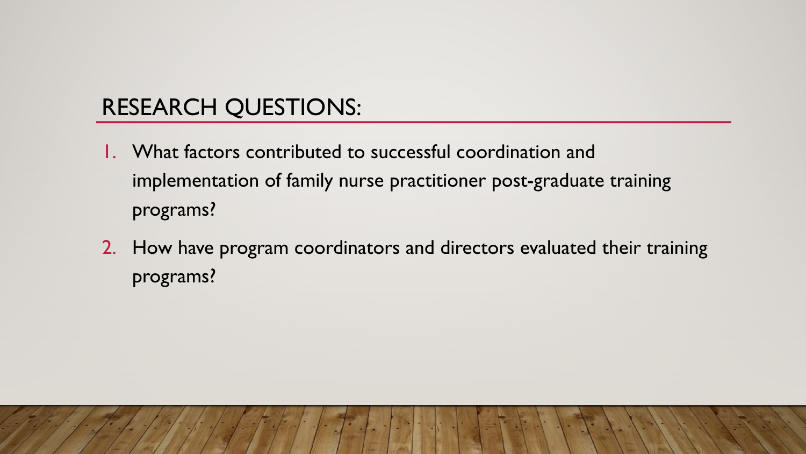#### RESEARCH QUESTIONS:

- 1. What factors contributed to successful coordination and implementation of family nurse practitioner post-graduate training programs?
- 2. How have program coordinators and directors evaluated their training programs?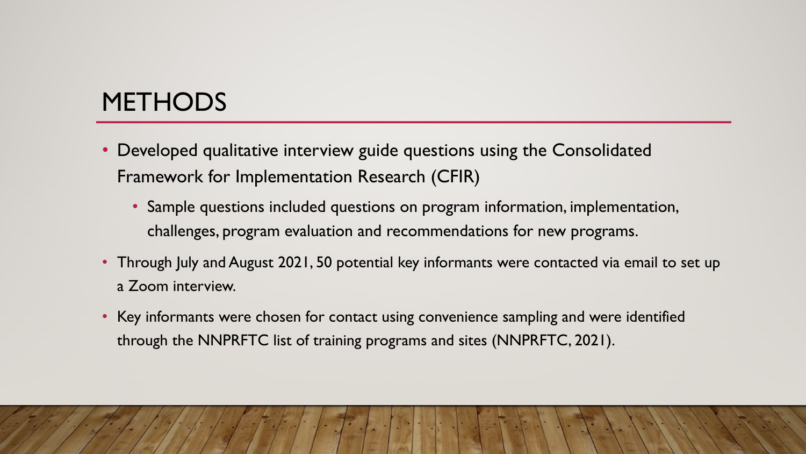#### **METHODS**

- Developed qualitative interview guide questions using the Consolidated Framework for Implementation Research (CFIR)
	- Sample questions included questions on program information, implementation, challenges, program evaluation and recommendations for new programs.
- Through July and August 2021, 50 potential key informants were contacted via email to set up a Zoom interview.
- Key informants were chosen for contact using convenience sampling and were identified through the NNPRFTC list of training programs and sites (NNPRFTC, 2021).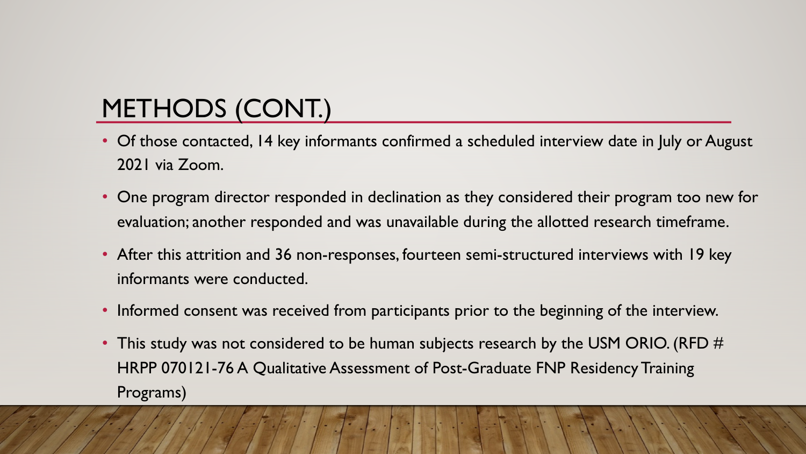# METHODS (CONT.)

- Of those contacted, 14 key informants confirmed a scheduled interview date in July or August 2021 via Zoom.
- One program director responded in declination as they considered their program too new for evaluation; another responded and was unavailable during the allotted research timeframe.
- After this attrition and 36 non-responses, fourteen semi-structured interviews with 19 key informants were conducted.
- Informed consent was received from participants prior to the beginning of the interview.
- This study was not considered to be human subjects research by the USM ORIO. (RFD  $\#$ HRPP 070121-76 A Qualitative Assessment of Post-Graduate FNP Residency Training Programs)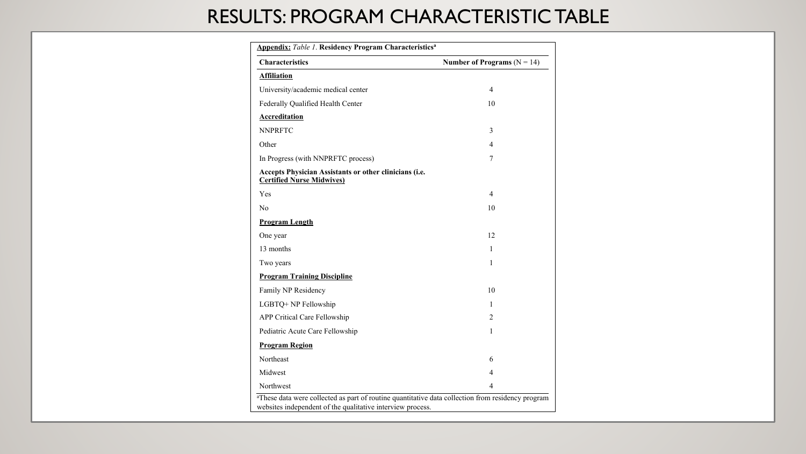#### RESULTS: PROGRAM CHARACTERISTIC TABLE

| <b>Characteristics</b>                                                                     | Number of Programs ( $N = 14$ ) |
|--------------------------------------------------------------------------------------------|---------------------------------|
| <b>Affiliation</b>                                                                         |                                 |
| University/academic medical center                                                         | $\overline{4}$                  |
| Federally Qualified Health Center                                                          | 10                              |
| <b>Accreditation</b>                                                                       |                                 |
| <b>NNPRFTC</b>                                                                             | 3                               |
| Other                                                                                      | 4                               |
| In Progress (with NNPRFTC process)                                                         | 7                               |
| Accepts Physician Assistants or other clinicians (i.e.<br><b>Certified Nurse Midwives)</b> |                                 |
| Yes                                                                                        | 4                               |
| N <sub>0</sub>                                                                             | 10                              |
| <b>Program Length</b>                                                                      |                                 |
| One year                                                                                   | 12                              |
| 13 months                                                                                  | $\mathbf{1}$                    |
| Two years                                                                                  | 1                               |
| <b>Program Training Discipline</b>                                                         |                                 |
| Family NP Residency                                                                        | 10                              |
| LGBTQ+ NP Fellowship                                                                       | 1                               |
| APP Critical Care Fellowship                                                               | $\overline{2}$                  |
| Pediatric Acute Care Fellowship                                                            | 1                               |
| <b>Program Region</b>                                                                      |                                 |
| Northeast                                                                                  | 6                               |
| Midwest                                                                                    | $\overline{4}$                  |
| Northwest                                                                                  | $\overline{\mathcal{A}}$        |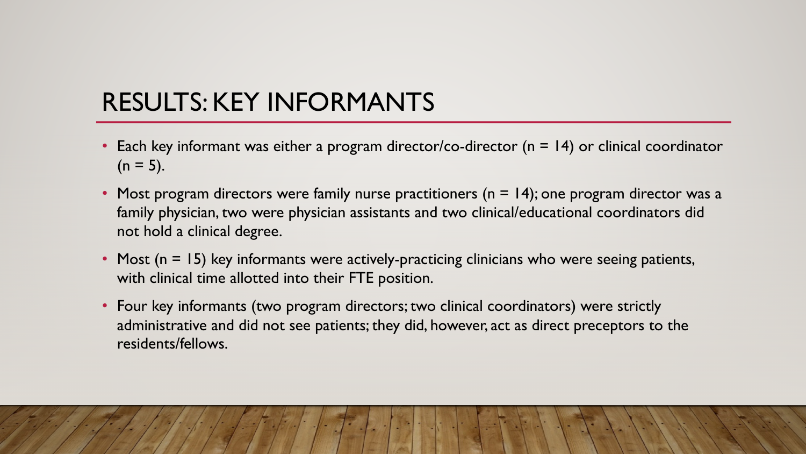### RESULTS: KEY INFORMANTS

- Each key informant was either a program director/co-director ( $n = 14$ ) or clinical coordinator  $(n = 5)$ .
- Most program directors were family nurse practitioners ( $n = 14$ ); one program director was a family physician, two were physician assistants and two clinical/educational coordinators did not hold a clinical degree.
- Most  $(n = 15)$  key informants were actively-practicing clinicians who were seeing patients, with clinical time allotted into their FTE position.
- Four key informants (two program directors; two clinical coordinators) were strictly administrative and did not see patients; they did, however, act as direct preceptors to the residents/fellows.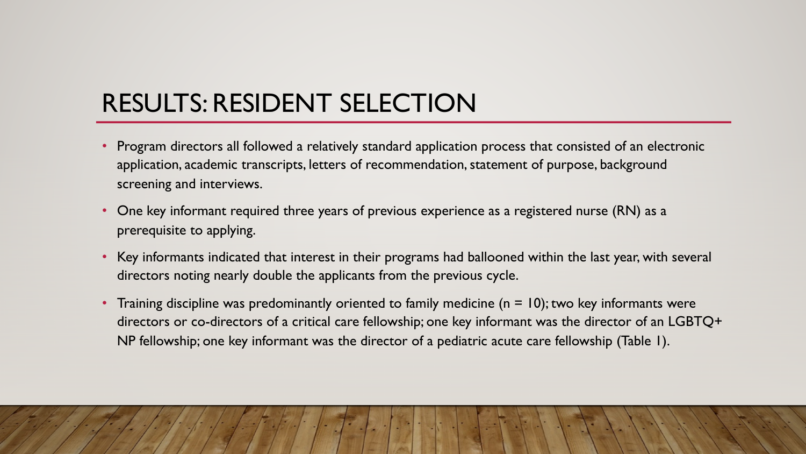## RESULTS: RESIDENT SELECTION

- Program directors all followed a relatively standard application process that consisted of an electronic application, academic transcripts, letters of recommendation, statement of purpose, background screening and interviews.
- One key informant required three years of previous experience as a registered nurse (RN) as a prerequisite to applying.
- Key informants indicated that interest in their programs had ballooned within the last year, with several directors noting nearly double the applicants from the previous cycle.
- Training discipline was predominantly oriented to family medicine ( $n = 10$ ); two key informants were directors or co-directors of a critical care fellowship; one key informant was the director of an LGBTQ+ NP fellowship; one key informant was the director of a pediatric acute care fellowship (Table 1).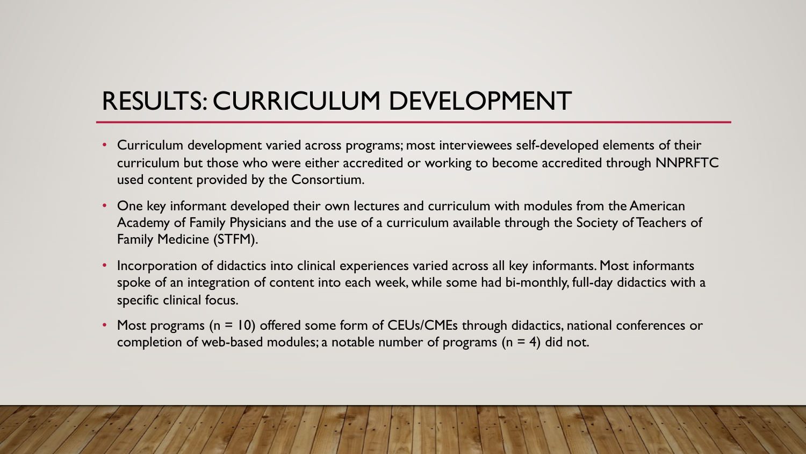## RESULTS: CURRICULUM DEVELOPMENT

- Curriculum development varied across programs; most interviewees self-developed elements of their curriculum but those who were either accredited or working to become accredited through NNPRFTC used content provided by the Consortium.
- One key informant developed their own lectures and curriculum with modules from the American Academy of Family Physicians and the use of a curriculum available through the Society of Teachers of Family Medicine (STFM).
- Incorporation of didactics into clinical experiences varied across all key informants. Most informants spoke of an integration of content into each week, while some had bi-monthly, full-day didactics with a specific clinical focus.
- Most programs (n = 10) offered some form of CEUs/CMEs through didactics, national conferences or completion of web-based modules; a notable number of programs ( $n = 4$ ) did not.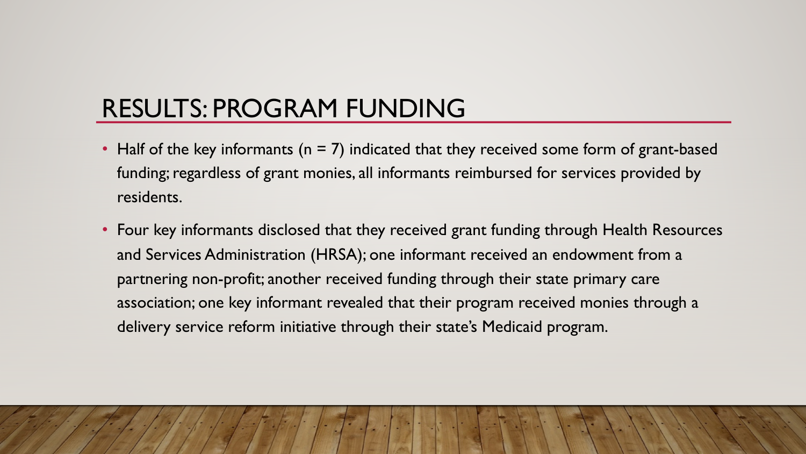## RESULTS: PROGRAM FUNDING

- Half of the key informants ( $n = 7$ ) indicated that they received some form of grant-based funding; regardless of grant monies, all informants reimbursed for services provided by residents.
- Four key informants disclosed that they received grant funding through Health Resources and Services Administration (HRSA); one informant received an endowment from a partnering non-profit; another received funding through their state primary care association; one key informant revealed that their program received monies through a delivery service reform initiative through their state's Medicaid program.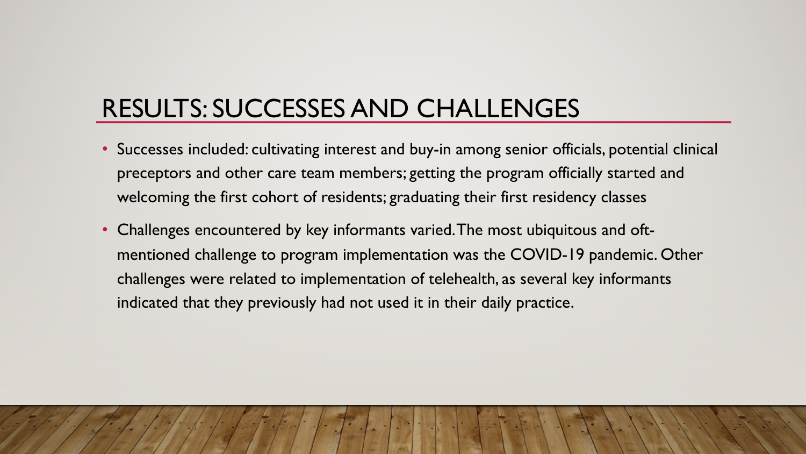## RESULTS: SUCCESSES AND CHALLENGES

- Successes included: cultivating interest and buy-in among senior officials, potential clinical preceptors and other care team members; getting the program officially started and welcoming the first cohort of residents; graduating their first residency classes
- Challenges encountered by key informants varied. The most ubiquitous and oftmentioned challenge to program implementation was the COVID-19 pandemic. Other challenges were related to implementation of telehealth, as several key informants indicated that they previously had not used it in their daily practice.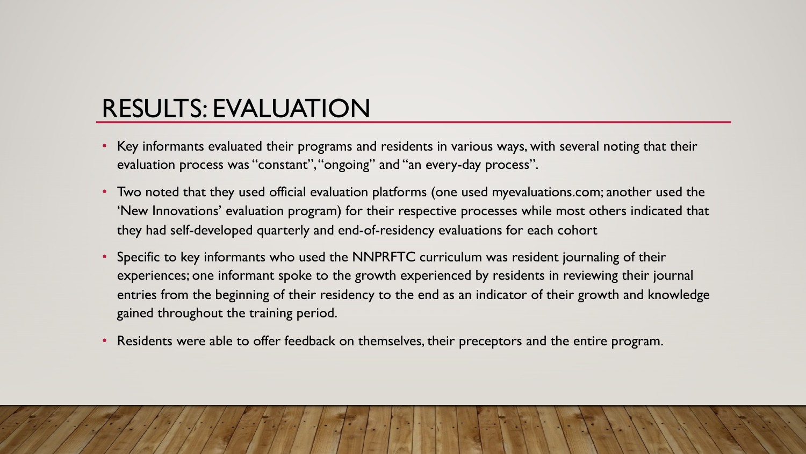## RESULTS: EVALUATION

- Key informants evaluated their programs and residents in various ways, with several noting that their evaluation process was "constant", "ongoing" and "an every-day process".
- Two noted that they used official evaluation platforms (one used myevaluations.com; another used the 'New Innovations' evaluation program) for their respective processes while most others indicated that they had self-developed quarterly and end-of-residency evaluations for each cohort
- Specific to key informants who used the NNPRFTC curriculum was resident journaling of their experiences; one informant spoke to the growth experienced by residents in reviewing their journal entries from the beginning of their residency to the end as an indicator of their growth and knowledge gained throughout the training period.
- Residents were able to offer feedback on themselves, their preceptors and the entire program.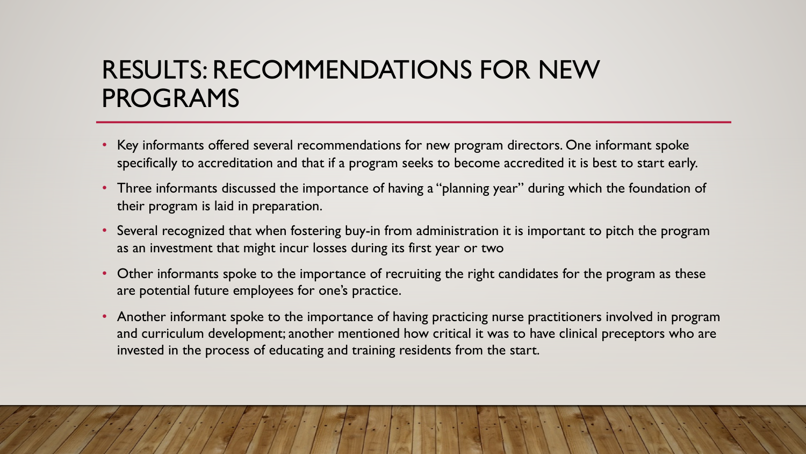#### RESULTS: RECOMMENDATIONS FOR NEW PROGRAMS

- Key informants offered several recommendations for new program directors. One informant spoke specifically to accreditation and that if a program seeks to become accredited it is best to start early.
- Three informants discussed the importance of having a "planning year" during which the foundation of their program is laid in preparation.
- Several recognized that when fostering buy-in from administration it is important to pitch the program as an investment that might incur losses during its first year or two
- Other informants spoke to the importance of recruiting the right candidates for the program as these are potential future employees for one's practice.
- Another informant spoke to the importance of having practicing nurse practitioners involved in program and curriculum development; another mentioned how critical it was to have clinical preceptors who are invested in the process of educating and training residents from the start.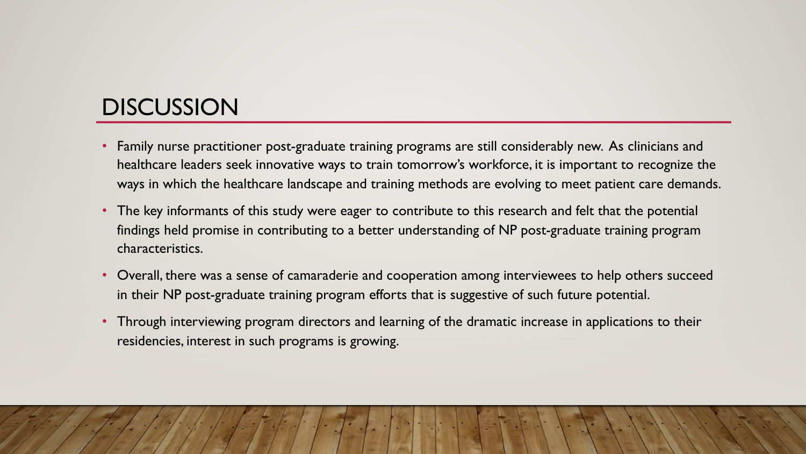#### **DISCUSSION**

- Family nurse practitioner post-graduate training programs are still considerably new. As clinicians and healthcare leaders seek innovative ways to train tomorrow's workforce, it is important to recognize the ways in which the healthcare landscape and training methods are evolving to meet patient care demands.
- The key informants of this study were eager to contribute to this research and felt that the potential findings held promise in contributing to a better understanding of NP post-graduate training program characteristics.
- Overall, there was a sense of camaraderie and cooperation among interviewees to help others succeed in their NP post-graduate training program efforts that is suggestive of such future potential.
- Through interviewing program directors and learning of the dramatic increase in applications to their residencies, interest in such programs is growing.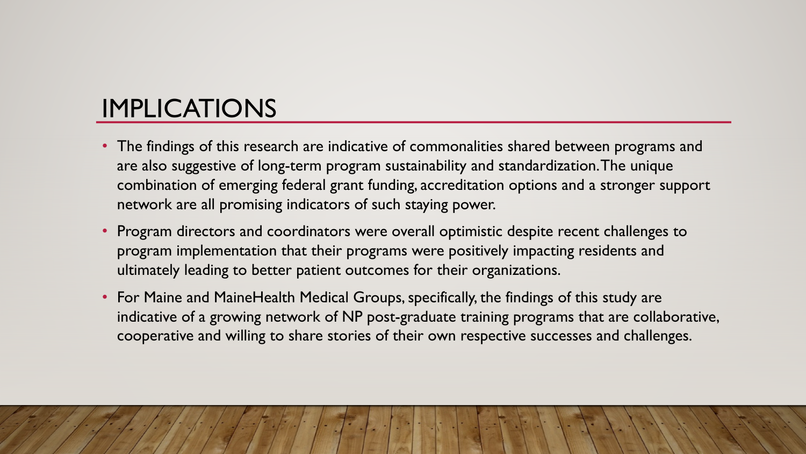## IMPLICATIONS

- The findings of this research are indicative of commonalities shared between programs and are also suggestive of long-term program sustainability and standardization. The unique combination of emerging federal grant funding, accreditation options and a stronger support network are all promising indicators of such staying power.
- Program directors and coordinators were overall optimistic despite recent challenges to program implementation that their programs were positively impacting residents and ultimately leading to better patient outcomes for their organizations.
- For Maine and MaineHealth Medical Groups, specifically, the findings of this study are indicative of a growing network of NP post-graduate training programs that are collaborative, cooperative and willing to share stories of their own respective successes and challenges.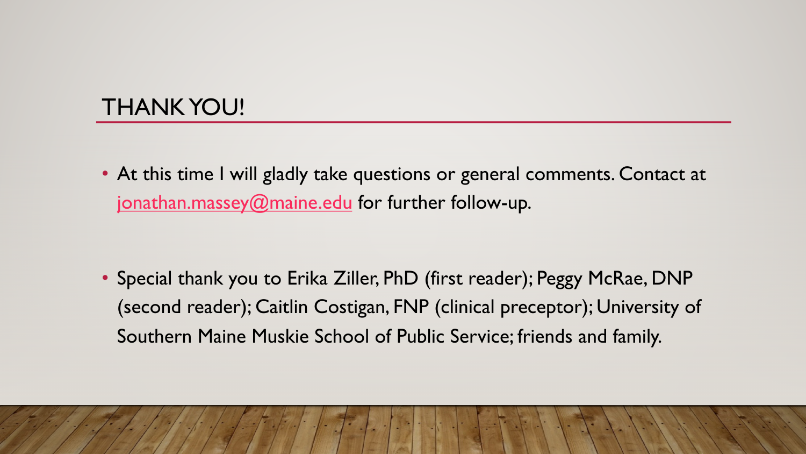#### THANK YOU!

• At this time I will gladly take questions or general comments. Contact at [jonathan.massey@maine.edu](mailto:jonathan.massey@maine.edu) for further follow-up.

• Special thank you to Erika Ziller, PhD (first reader); Peggy McRae, DNP (second reader); Caitlin Costigan, FNP (clinical preceptor); University of Southern Maine Muskie School of Public Service; friends and family.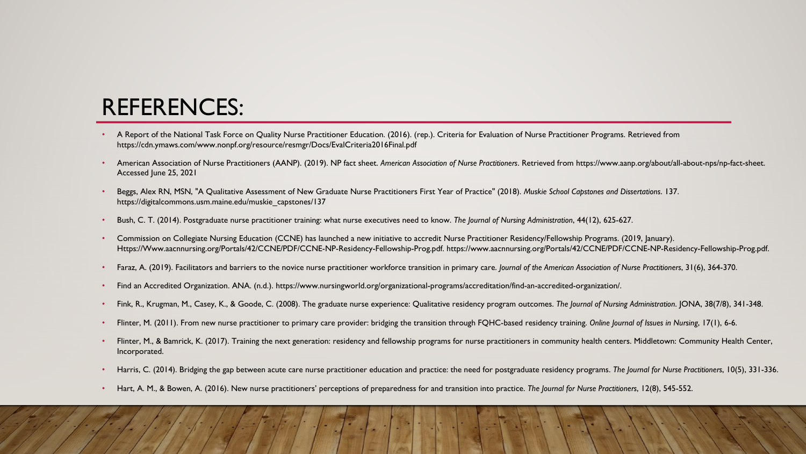#### REFERENCES:

- A Report of the National Task Force on Quality Nurse Practitioner Education. (2016). (rep.). Criteria for Evaluation of Nurse Practitioner Programs. Retrieved from https://cdn.ymaws.com/www.nonpf.org/resource/resmgr/Docs/EvalCriteria2016Final.pdf
- American Association of Nurse Practitioners (AANP). (2019). NP fact sheet. *American Association of Nurse Practitioners*. Retrieved from https://www.aanp.org/about/all-about-nps/np-fact-sheet. Accessed June 25, 2021
- Beggs, Alex RN, MSN, "A Qualitative Assessment of New Graduate Nurse Practitioners First Year of Practice" (2018). *Muskie School Capstones and Dissertations*. 137. https://digitalcommons.usm.maine.edu/muskie\_capstones/137
- Bush, C. T. (2014). Postgraduate nurse practitioner training: what nurse executives need to know. *The Journal of Nursing Administration*, 44(12), 625-627.
- Commission on Collegiate Nursing Education (CCNE) has launched a new initiative to accredit Nurse Practitioner Residency/Fellowship Programs. (2019, January). Https://Www.aacnnursing.org/Portals/42/CCNE/PDF/CCNE-NP-Residency-Fellowship-Prog.pdf. https://www.aacnnursing.org/Portals/42/CCNE/PDF/CCNE-NP-Residency-Fellowship-Prog.pdf.
- Faraz, A. (2019). Facilitators and barriers to the novice nurse practitioner workforce transition in primary care. *Journal of the American Association of Nurse Practitioners*, 31(6), 364-370.
- Find an Accredited Organization. ANA. (n.d.). https://www.nursingworld.org/organizational-programs/accreditation/find-an-accredited-organization/.
- Fink, R., Krugman, M., Casey, K., & Goode, C. (2008). The graduate nurse experience: Qualitative residency program outcomes. *The Journal of Nursing Administration*. JONA, 38(7/8), 341-348.
- Flinter, M. (2011). From new nurse practitioner to primary care provider: bridging the transition through FQHC-based residency training. *Online Journal of Issues in Nursing*, 17(1), 6-6.
- Flinter, M., & Bamrick, K. (2017). Training the next generation: residency and fellowship programs for nurse practitioners in community health centers. Middletown: Community Health Center, Incorporated.
- Harris, C. (2014). Bridging the gap between acute care nurse practitioner education and practice: the need for postgraduate residency programs. *The Journal for Nurse Practitioners*, 10(5), 331-336.
- Hart, A. M., & Bowen, A. (2016). New nurse practitioners' perceptions of preparedness for and transition into practice. *The Journal for Nurse Practitioners*, 12(8), 545-552.